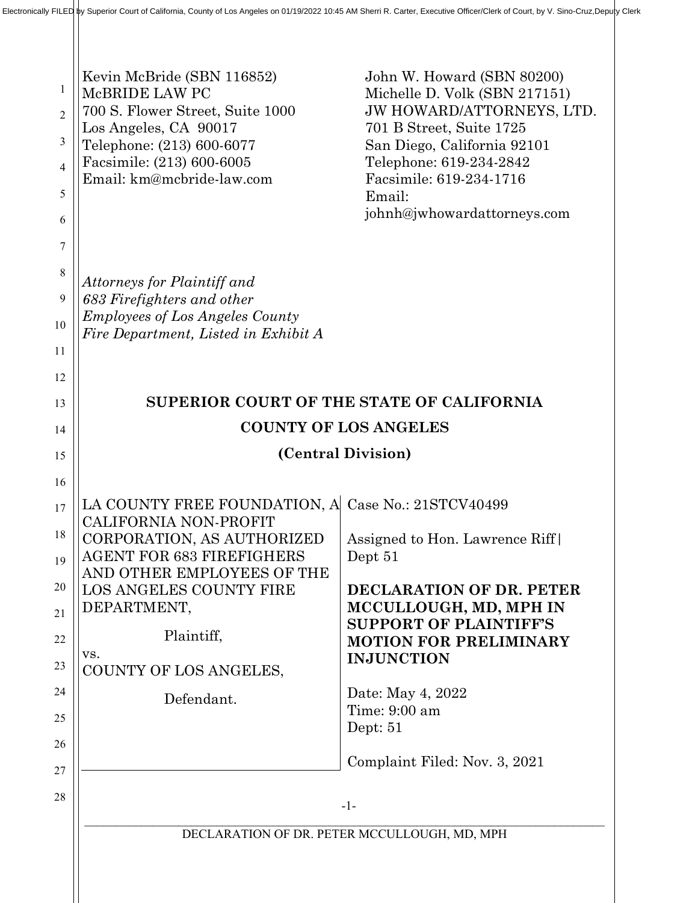| 1<br>$\overline{2}$<br>3<br>$\overline{4}$<br>5<br>6 | Kevin McBride (SBN 116852)<br>MCBRIDE LAW PC<br>700 S. Flower Street, Suite 1000<br>Los Angeles, CA 90017<br>Telephone: (213) 600-6077<br>Facsimile: (213) 600-6005<br>Email: km@mcbride-law.com | John W. Howard (SBN 80200)<br>Michelle D. Volk (SBN 217151)<br>JW HOWARD/ATTORNEYS, LTD.<br>701 B Street, Suite 1725<br>San Diego, California 92101<br>Telephone: 619-234-2842<br>Facsimile: 619-234-1716<br>Email:<br>johnh@jwhowardattorneys.com |
|------------------------------------------------------|--------------------------------------------------------------------------------------------------------------------------------------------------------------------------------------------------|----------------------------------------------------------------------------------------------------------------------------------------------------------------------------------------------------------------------------------------------------|
| 7<br>8<br>9<br>10<br>11<br>12                        | Attorneys for Plaintiff and<br>683 Firefighters and other<br><b>Employees of Los Angeles County</b><br>Fire Department, Listed in Exhibit A                                                      |                                                                                                                                                                                                                                                    |
| 13                                                   | SUPERIOR COURT OF THE STATE OF CALIFORNIA                                                                                                                                                        |                                                                                                                                                                                                                                                    |
| 14                                                   | <b>COUNTY OF LOS ANGELES</b>                                                                                                                                                                     |                                                                                                                                                                                                                                                    |
| 15                                                   | (Central Division)                                                                                                                                                                               |                                                                                                                                                                                                                                                    |
| 16                                                   |                                                                                                                                                                                                  |                                                                                                                                                                                                                                                    |
| 17                                                   | LA COUNTY FREE FOUNDATION, A<br><b>CALIFORNIA NON-PROFIT</b>                                                                                                                                     | Case No.: 21STCV40499                                                                                                                                                                                                                              |
| 18                                                   | CORPORATION, AS AUTHORIZED                                                                                                                                                                       | Assigned to Hon. Lawrence Riff                                                                                                                                                                                                                     |
| 19                                                   | <b>AGENT FOR 683 FIREFIGHERS</b><br>AND OTHER EMPLOYEES OF THE                                                                                                                                   | Dept 51                                                                                                                                                                                                                                            |
| 20                                                   | LOS ANGELES COUNTY FIRE                                                                                                                                                                          | DECLARATION OF DR. PETER                                                                                                                                                                                                                           |
| 21                                                   | DEPARTMENT,                                                                                                                                                                                      | MCCULLOUGH, MD, MPH IN<br><b>SUPPORT OF PLAINTIFF'S</b>                                                                                                                                                                                            |
| 22                                                   | Plaintiff,<br>VS.                                                                                                                                                                                | <b>MOTION FOR PRELIMINARY</b>                                                                                                                                                                                                                      |
| 23                                                   | COUNTY OF LOS ANGELES,                                                                                                                                                                           | <b>INJUNCTION</b>                                                                                                                                                                                                                                  |
| 24                                                   | Defendant.                                                                                                                                                                                       | Date: May 4, 2022<br>Time: 9:00 am                                                                                                                                                                                                                 |
| 25                                                   |                                                                                                                                                                                                  | Dept: $51$                                                                                                                                                                                                                                         |
| 26                                                   |                                                                                                                                                                                                  | Complaint Filed: Nov. 3, 2021                                                                                                                                                                                                                      |
| 27                                                   |                                                                                                                                                                                                  |                                                                                                                                                                                                                                                    |
| 28                                                   |                                                                                                                                                                                                  | $-1-$                                                                                                                                                                                                                                              |
|                                                      | DECLARATION OF DR. PETER MCCULLOUGH, MD, MPH                                                                                                                                                     |                                                                                                                                                                                                                                                    |
|                                                      |                                                                                                                                                                                                  |                                                                                                                                                                                                                                                    |
|                                                      |                                                                                                                                                                                                  |                                                                                                                                                                                                                                                    |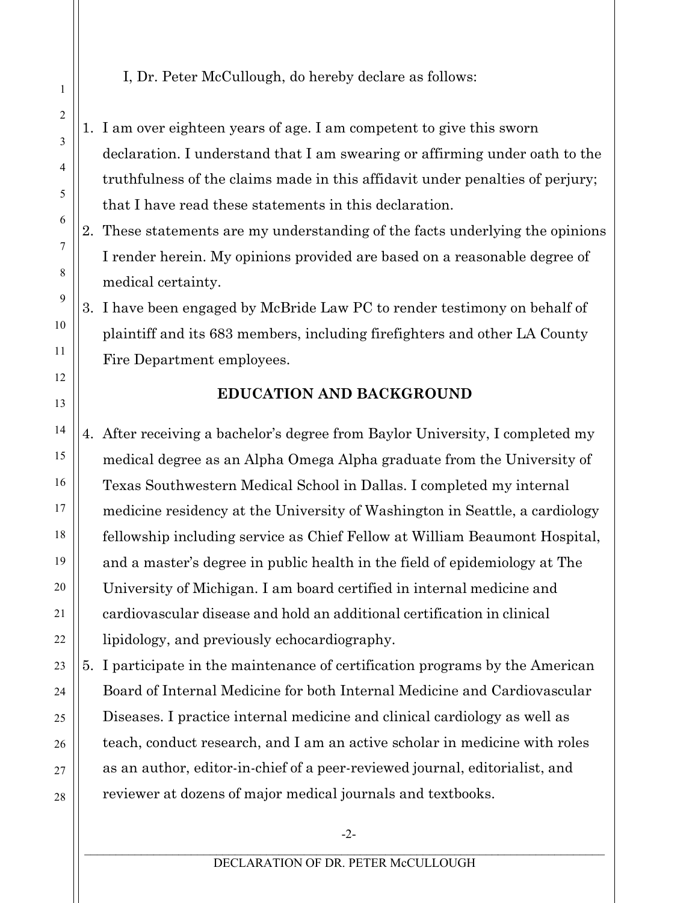I, Dr. Peter McCullough, do hereby declare as follows:

- 1. I am over eighteen years of age. I am competent to give this sworn declaration. I understand that I am swearing or affirming under oath to the truthfulness of the claims made in this affidavit under penalties of perjury; that I have read these statements in this declaration.
- 2. These statements are my understanding of the facts underlying the opinions I render herein. My opinions provided are based on a reasonable degree of medical certainty.

3. I have been engaged by McBride Law PC to render testimony on behalf of plaintiff and its 683 members, including firefighters and other LA County Fire Department employees.

## **EDUCATION AND BACKGROUND**

4. After receiving a bachelor's degree from Baylor University, I completed my medical degree as an Alpha Omega Alpha graduate from the University of Texas Southwestern Medical School in Dallas. I completed my internal medicine residency at the University of Washington in Seattle, a cardiology fellowship including service as Chief Fellow at William Beaumont Hospital, and a master's degree in public health in the field of epidemiology at The University of Michigan. I am board certified in internal medicine and cardiovascular disease and hold an additional certification in clinical lipidology, and previously echocardiography.

5. I participate in the maintenance of certification programs by the American Board of Internal Medicine for both Internal Medicine and Cardiovascular Diseases. I practice internal medicine and clinical cardiology as well as teach, conduct research, and I am an active scholar in medicine with roles as an author, editor-in-chief of a peer-reviewed journal, editorialist, and reviewer at dozens of major medical journals and textbooks.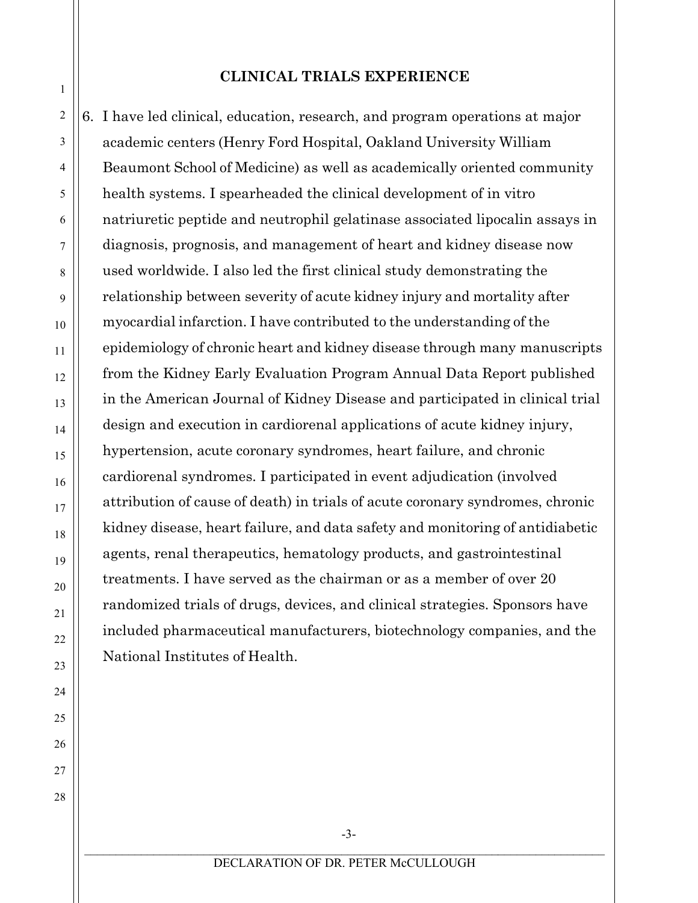#### **CLINICAL TRIALS EXPERIENCE**

6. I have led clinical, education, research, and program operations at major academic centers (Henry Ford Hospital, Oakland University William Beaumont School of Medicine) as well as academically oriented community health systems. I spearheaded the clinical development of in vitro natriuretic peptide and neutrophil gelatinase associated lipocalin assays in diagnosis, prognosis, and management of heart and kidney disease now used worldwide. I also led the first clinical study demonstrating the relationship between severity of acute kidney injury and mortality after myocardial infarction. I have contributed to the understanding of the epidemiology of chronic heart and kidney disease through many manuscripts from the Kidney Early Evaluation Program Annual Data Report published in the American Journal of Kidney Disease and participated in clinical trial design and execution in cardiorenal applications of acute kidney injury, hypertension, acute coronary syndromes, heart failure, and chronic cardiorenal syndromes. I participated in event adjudication (involved attribution of cause of death) in trials of acute coronary syndromes, chronic kidney disease, heart failure, and data safety and monitoring of antidiabetic agents, renal therapeutics, hematology products, and gastrointestinal treatments. I have served as the chairman or as a member of over 20 randomized trials of drugs, devices, and clinical strategies. Sponsors have included pharmaceutical manufacturers, biotechnology companies, and the National Institutes of Health.

1

2

3

4

5

6

7

8

9

10

11

12

13

14

15

16

17

18

19

20

21

22

23

24

25

26

27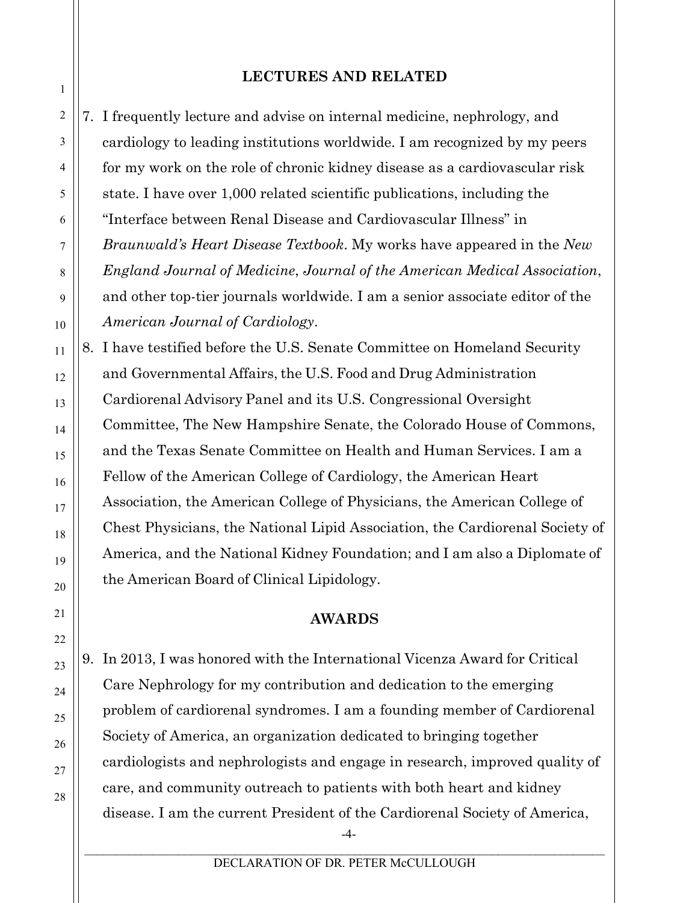#### **LECTURES AND RELATED**

7. I frequently lecture and advise on internal medicine, nephrology, and cardiology to leading institutions worldwide. I am recognized by my peers for my work on the role of chronic kidney disease as a cardiovascular risk state. I have over 1,000 related scientific publications, including the "Interface between Renal Disease and Cardiovascular Illness" in *Braunwald's Heart Disease Textbook*. My works have appeared in the *New England Journal of Medicine*, *Journal of the American Medical Association*, and other top-tier journals worldwide. I am a senior associate editor of the *American Journal of Cardiology*.

8. I have testified before the U.S. Senate Committee on Homeland Security and Governmental Affairs, the U.S. Food and Drug Administration Cardiorenal Advisory Panel and its U.S. Congressional Oversight Committee, The New Hampshire Senate, the Colorado House of Commons, and the Texas Senate Committee on Health and Human Services. I am a Fellow of the American College of Cardiology, the American Heart Association, the American College of Physicians, the American College of Chest Physicians, the National Lipid Association, the Cardiorenal Society of America, and the National Kidney Foundation; and I am also a Diplomate of the American Board of Clinical Lipidology.

#### **AWARDS**

9. In 2013, I was honored with the International Vicenza Award for Critical Care Nephrology for my contribution and dedication to the emerging problem of cardiorenal syndromes. I am a founding member of Cardiorenal Society of America, an organization dedicated to bringing together cardiologists and nephrologists and engage in research, improved quality of care, and community outreach to patients with both heart and kidney disease. I am the current President of the Cardiorenal Society of America,

-4-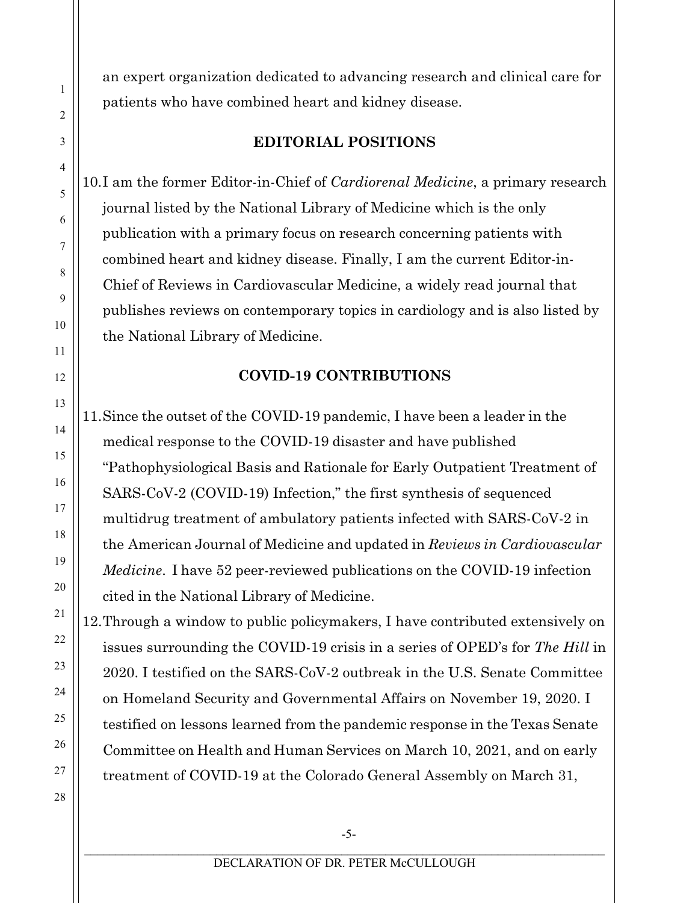an expert organization dedicated to advancing research and clinical care for patients who have combined heart and kidney disease.

### **EDITORIAL POSITIONS**

10.I am the former Editor-in-Chief of *Cardiorenal Medicine*, a primary research journal listed by the National Library of Medicine which is the only publication with a primary focus on research concerning patients with combined heart and kidney disease. Finally, I am the current Editor-in-Chief of Reviews in Cardiovascular Medicine, a widely read journal that publishes reviews on contemporary topics in cardiology and is also listed by the National Library of Medicine.

### **COVID-19 CONTRIBUTIONS**

11.Since the outset of the COVID-19 pandemic, I have been a leader in the medical response to the COVID-19 disaster and have published "Pathophysiological Basis and Rationale for Early Outpatient Treatment of SARS-CoV-2 (COVID-19) Infection," the first synthesis of sequenced multidrug treatment of ambulatory patients infected with SARS-CoV-2 in the American Journal of Medicine and updated in *Reviews in Cardiovascular Medicine*. I have 52 peer-reviewed publications on the COVID-19 infection cited in the National Library of Medicine.

12.Through a window to public policymakers, I have contributed extensively on issues surrounding the COVID-19 crisis in a series of OPED's for *The Hill* in 2020. I testified on the SARS-CoV-2 outbreak in the U.S. Senate Committee on Homeland Security and Governmental Affairs on November 19, 2020. I testified on lessons learned from the pandemic response in the Texas Senate Committee on Health and Human Services on March 10, 2021, and on early treatment of COVID-19 at the Colorado General Assembly on March 31,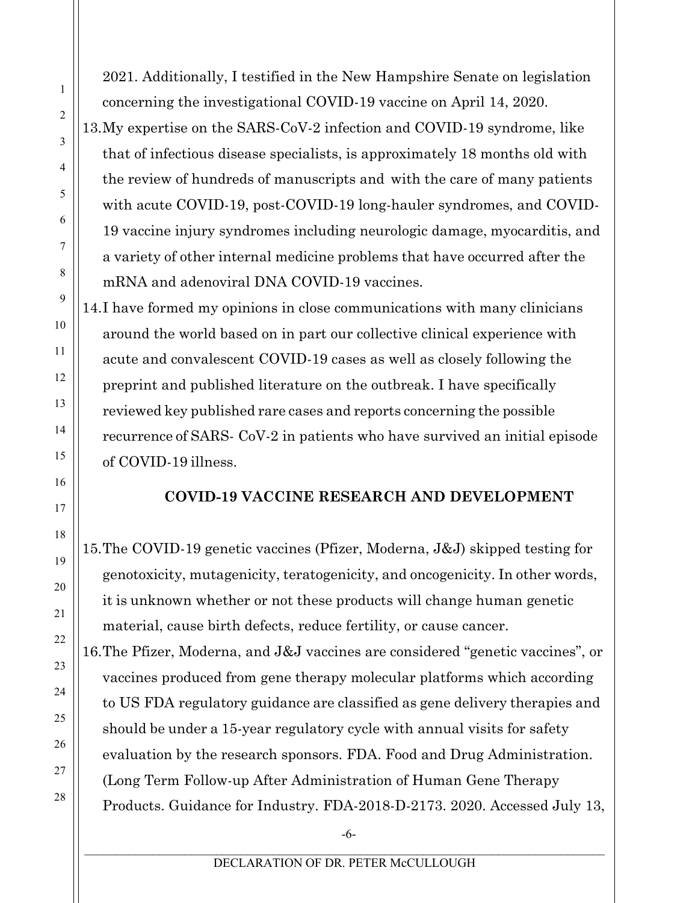2021. Additionally, I testified in the New Hampshire Senate on legislation concerning the investigational COVID-19 vaccine on April 14, 2020. 13.My expertise on the SARS-CoV-2 infection and COVID-19 syndrome, like that of infectious disease specialists, is approximately 18 months old with the review of hundreds of manuscripts and with the care of many patients with acute COVID-19, post-COVID-19 long-hauler syndromes, and COVID-19 vaccine injury syndromes including neurologic damage, myocarditis, and a variety of other internal medicine problems that have occurred after the mRNA and adenoviral DNA COVID-19 vaccines.

14.I have formed my opinions in close communications with many clinicians around the world based on in part our collective clinical experience with acute and convalescent COVID-19 cases as well as closely following the preprint and published literature on the outbreak. I have specifically reviewed key published rare cases and reports concerning the possible recurrence of SARS- CoV-2 in patients who have survived an initial episode of COVID-19 illness.

## **COVID-19 VACCINE RESEARCH AND DEVELOPMENT**

15.The COVID-19 genetic vaccines (Pfizer, Moderna, J&J) skipped testing for genotoxicity, mutagenicity, teratogenicity, and oncogenicity. In other words, it is unknown whether or not these products will change human genetic material, cause birth defects, reduce fertility, or cause cancer.

16.The Pfizer, Moderna, and J&J vaccines are considered "genetic vaccines", or vaccines produced from gene therapy molecular platforms which according to US FDA regulatory guidance are classified as gene delivery therapies and should be under a 15-year regulatory cycle with annual visits for safety evaluation by the research sponsors. FDA. Food and Drug Administration. (Long Term Follow-up After Administration of Human Gene Therapy Products. Guidance for Industry. FDA-2018-D-2173. 2020. Accessed July 13,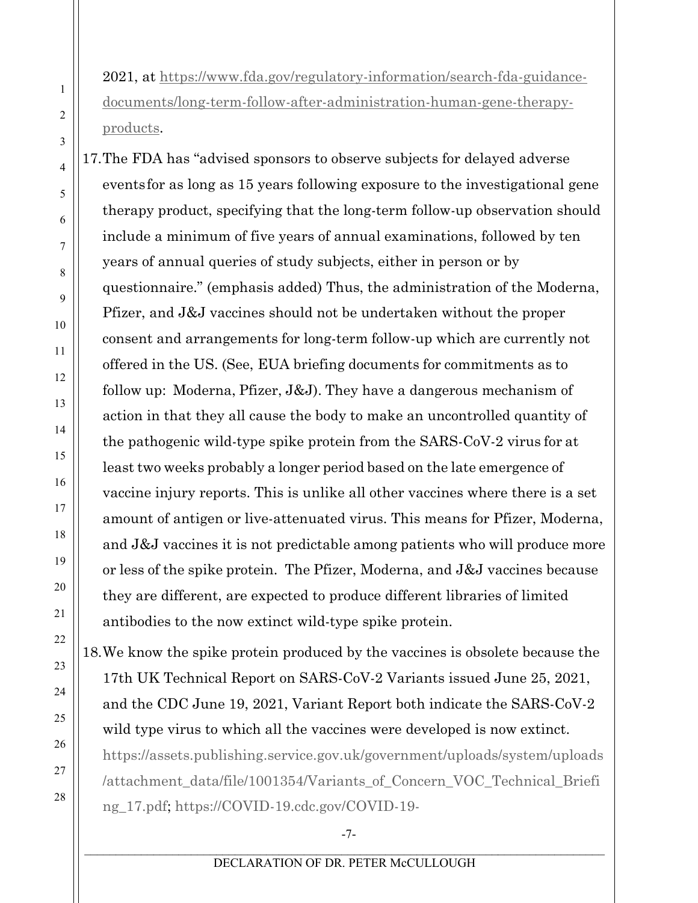2021, at https[://www.fda.gov/regulatory-information/search-fda-guidance](about:blank)documents/long-term-follow-after-administration-human-gene-therapyproducts.

17.The FDA has "advised sponsors to observe subjects for delayed adverse eventsfor as long as 15 years following exposure to the investigational gene therapy product, specifying that the long-term follow-up observation should include a minimum of five years of annual examinations, followed by ten years of annual queries of study subjects, either in person or by questionnaire." (emphasis added) Thus, the administration of the Moderna, Pfizer, and J&J vaccines should not be undertaken without the proper consent and arrangements for long-term follow-up which are currently not offered in the US. (See, EUA briefing documents for commitments as to follow up: Moderna, Pfizer, J&J). They have a dangerous mechanism of action in that they all cause the body to make an uncontrolled quantity of the pathogenic wild-type spike protein from the SARS-CoV-2 virus for at least two weeks probably a longer period based on the late emergence of vaccine injury reports. This is unlike all other vaccines where there is a set amount of antigen or live-attenuated virus. This means for Pfizer, Moderna, and J&J vaccines it is not predictable among patients who will produce more or less of the spike protein. The Pfizer, Moderna, and J&J vaccines because they are different, are expected to produce different libraries of limited antibodies to the now extinct wild-type spike protein.

18.We know the spike protein produced by the vaccines is obsolete because the 17th UK Technical Report on SARS-CoV-2 Variants issued June 25, 2021, and the CDC June 19, 2021, Variant Report both indicate the SARS-CoV-2 wild type virus to which all the vaccines were developed is now extinct. https://assets.publishing.service.gov.uk/government/uploads/system/uploads /attachment\_data/file/1001354/Variants\_of\_Concern\_VOC\_Technical\_Briefi ng\_17.pdf; https://COVID-19.cdc.gov/COVID-19-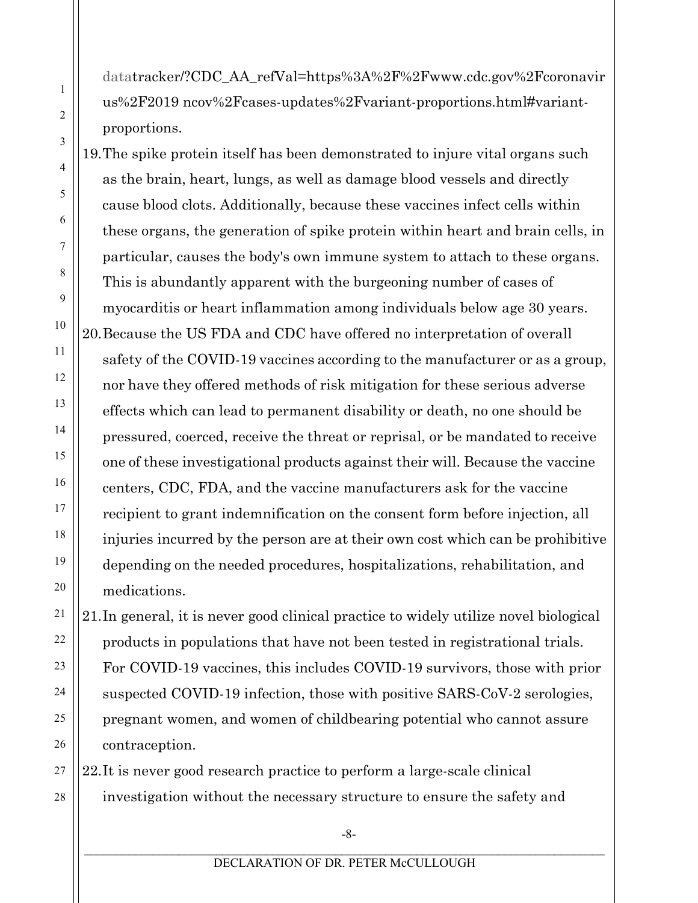datatracker/?CDC\_AA\_refVal=https%3A%2F%2Fwww.cdc.gov%2Fcoronavir us%2F2019 ncov%2Fcases-updates%2Fvariant-proportions.html#variantproportions.

1

2

3

4

5

6

7

8

9

10

11

12

13

14

15

16

17

18

19

20

21

22

23

24

25

26

19.The spike protein itself has been demonstrated to injure vital organs such as the brain, heart, lungs, as well as damage blood vessels and directly cause blood clots. Additionally, because these vaccines infect cells within these organs, the generation of spike protein within heart and brain cells, in particular, causes the body's own immune system to attach to these organs. This is abundantly apparent with the burgeoning number of cases of myocarditis or heart inflammation among individuals below age 30 years. 20.Because the US FDA and CDC have offered no interpretation of overall safety of the COVID-19 vaccines according to the manufacturer or as a group, nor have they offered methods of risk mitigation for these serious adverse effects which can lead to permanent disability or death, no one should be pressured, coerced, receive the threat or reprisal, or be mandated to receive one of these investigational products against their will. Because the vaccine centers, CDC, FDA, and the vaccine manufacturers ask for the vaccine recipient to grant indemnification on the consent form before injection, all injuries incurred by the person are at their own cost which can be prohibitive depending on the needed procedures, hospitalizations, rehabilitation, and medications.

21.In general, it is never good clinical practice to widely utilize novel biological products in populations that have not been tested in registrational trials. For COVID-19 vaccines, this includes COVID-19 survivors, those with prior suspected COVID-19 infection, those with positive SARS-CoV-2 serologies, pregnant women, and women of childbearing potential who cannot assure contraception.

27 28 22.It is never good research practice to perform a large-scale clinical investigation without the necessary structure to ensure the safety and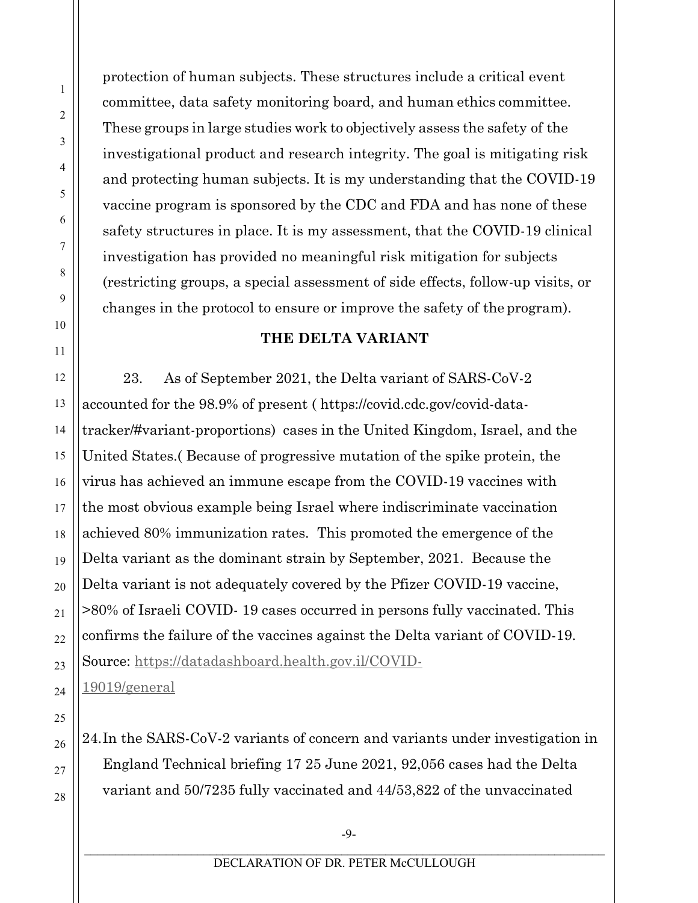protection of human subjects. These structures include a critical event committee, data safety monitoring board, and human ethics committee. These groups in large studies work to objectively assess the safety of the investigational product and research integrity. The goal is mitigating risk and protecting human subjects. It is my understanding that the COVID-19 vaccine program is sponsored by the CDC and FDA and has none of these safety structures in place. It is my assessment, that the COVID-19 clinical investigation has provided no meaningful risk mitigation for subjects (restricting groups, a special assessment of side effects, follow-up visits, or changes in the protocol to ensure or improve the safety of the program).

## **THE DELTA VARIANT**

23. As of September 2021, the Delta variant of SARS-CoV-2 accounted for the 98.9% of present ( https://covid.cdc.gov/covid-datatracker/#variant-proportions) cases in the United Kingdom, Israel, and the United States.( Because of progressive mutation of the spike protein, the virus has achieved an immune escape from the COVID-19 vaccines with the most obvious example being Israel where indiscriminate vaccination achieved 80% immunization rates. This promoted the emergence of the Delta variant as the dominant strain by September, 2021. Because the Delta variant is not adequately covered by the Pfizer COVID-19 vaccine, >80% of Israeli COVID- 19 cases occurred in persons fully vaccinated. This confirms the failure of the vaccines against the Delta variant of COVID-19. Source: https://datadashboard.health.gov.il/COVID-

19019/general

24.In the SARS-CoV-2 variants of concern and variants under investigation in England Technical briefing 17 25 June 2021, 92,056 cases had the Delta variant and 50/7235 fully vaccinated and 44/53,822 of the unvaccinated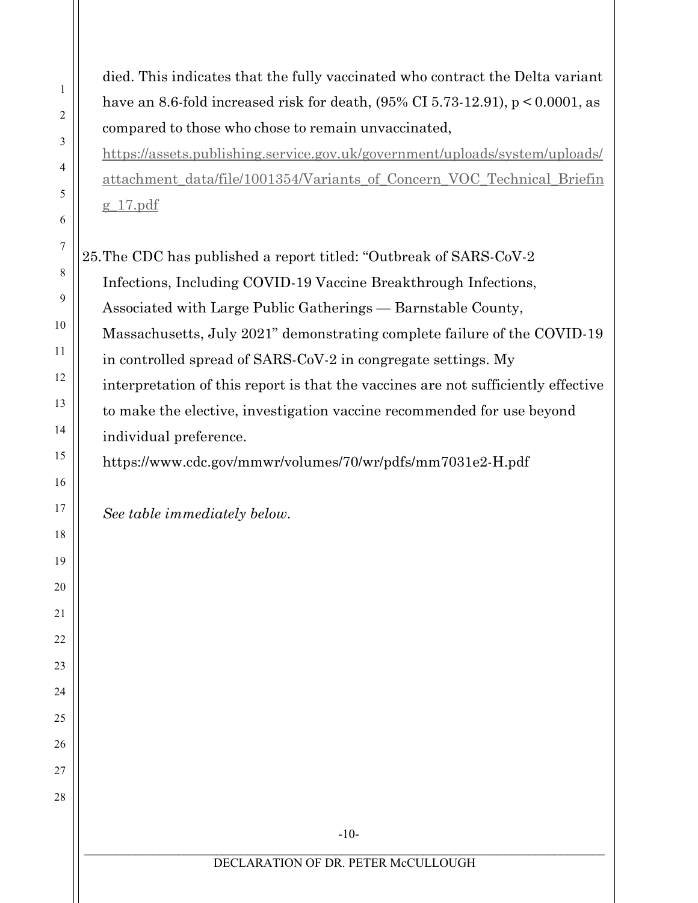died. This indicates that the fully vaccinated who contract the Delta variant have an 8.6-fold increased risk for death, (95% CI 5.73-12.91), p < 0.0001, as compared to those who chose to remain unvaccinated,

https://assets.publishing.service.gov.uk/government/uploads/system/uploads/ attachment\_data/file/1001354/Variants\_of\_Concern\_VOC\_Technical\_Briefin g\_17.pdf

25.The CDC has published a report titled: "Outbreak of SARS-CoV-2 Infections, Including COVID-19 Vaccine Breakthrough Infections, Associated with Large Public Gatherings — Barnstable County, Massachusetts, July 2021" demonstrating complete failure of the COVID-19 in controlled spread of SARS-CoV-2 in congregate settings. My interpretation of this report is that the vaccines are not sufficiently effective to make the elective, investigation vaccine recommended for use beyond individual preference.

https[://www.cdc.gov/mmwr/volumes/70/wr/pdfs/mm7031e2-H.pdf](about:blank) 

*See table immediately below.*

1

2

3

4

5

6

7

8

9

10

11

12

13

14

15

16

17

18

19

20

21

22

23

24

25

26

27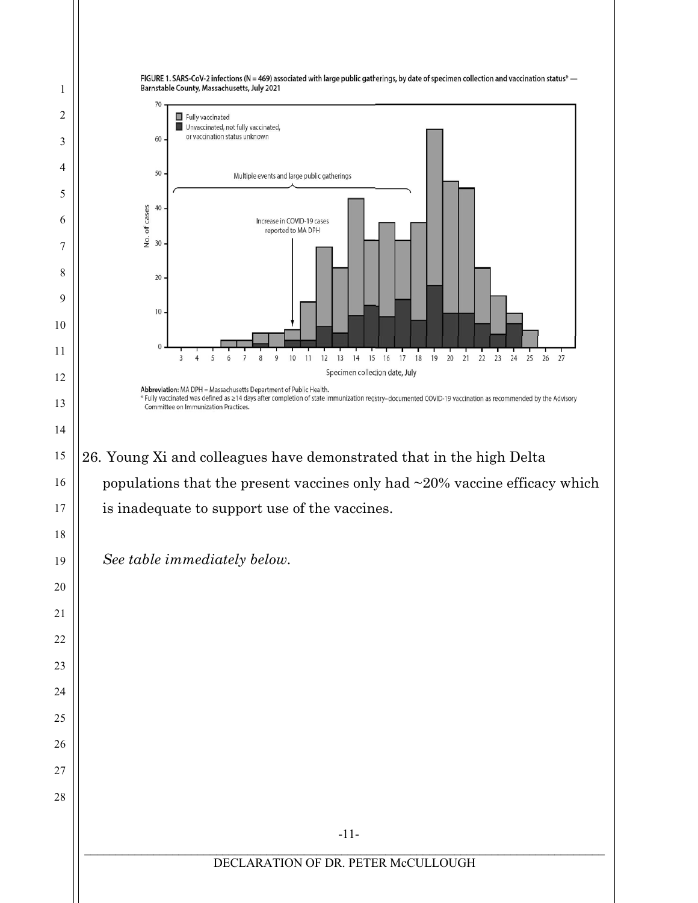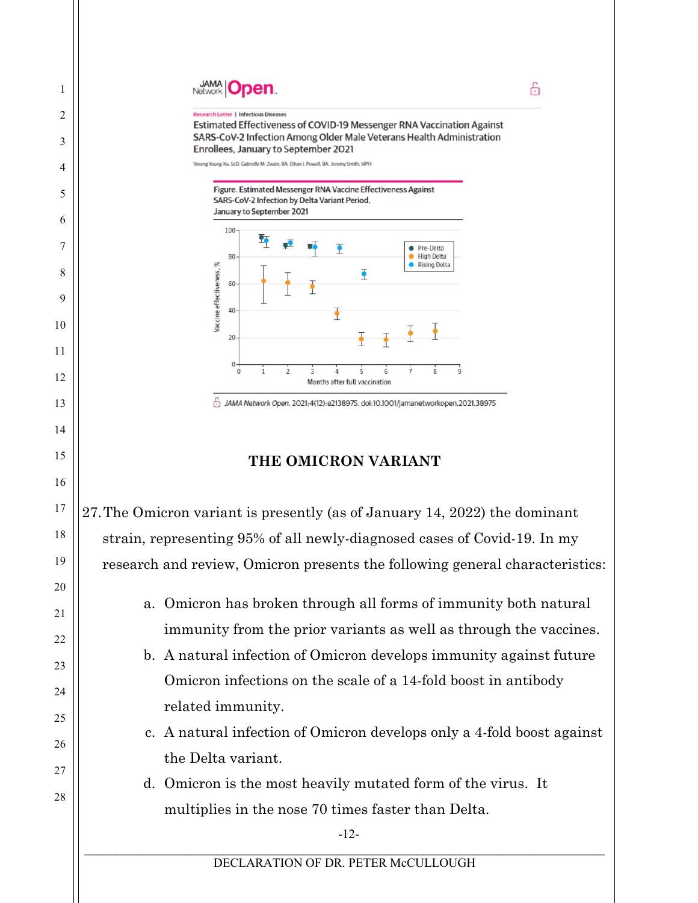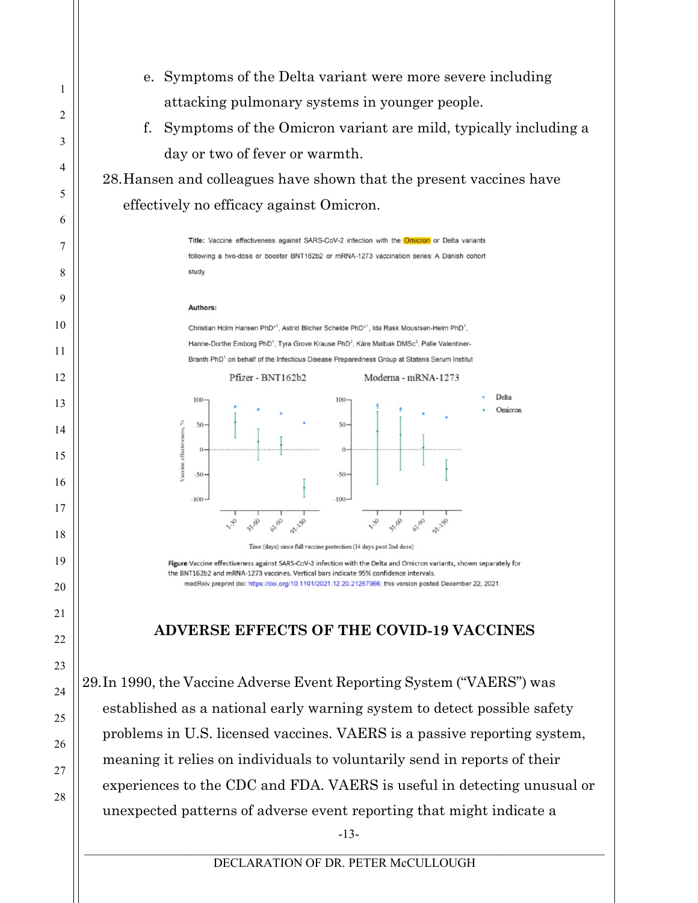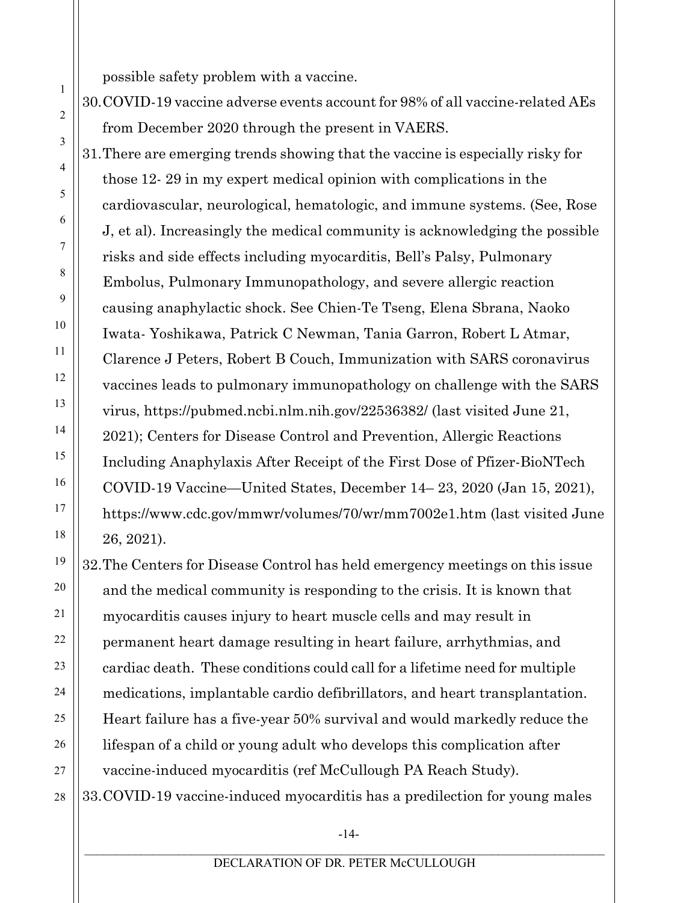possible safety problem with a vaccine.

1

2

3

4

5

6

7

8

9

10

11

12

13

14

15

16

17

18

19

20

21

22

23

24

25

26

27

28

30.COVID-19 vaccine adverse events account for 98% of all vaccine-related AEs from December 2020 through the present in VAERS.

31.There are emerging trends showing that the vaccine is especially risky for those 12- 29 in my expert medical opinion with complications in the cardiovascular, neurological, hematologic, and immune systems. (See, Rose J, et al). Increasingly the medical community is acknowledging the possible risks and side effects including myocarditis, Bell's Palsy, Pulmonary Embolus, Pulmonary Immunopathology, and severe allergic reaction causing anaphylactic shock. See Chien-Te Tseng, Elena Sbrana, Naoko Iwata- Yoshikawa, Patrick C Newman, Tania Garron, Robert L Atmar, Clarence J Peters, Robert B Couch, Immunization with SARS coronavirus vaccines leads to pulmonary immunopathology on challenge with the SARS virus, https://pubmed.ncbi.nlm.nih.gov/22536382/ (last visited June 21, 2021); Centers for Disease Control and Prevention, Allergic Reactions Including Anaphylaxis After Receipt of the First Dose of Pfizer-BioNTech COVID-19 Vaccine—United States, December 14– 23, 2020 (Jan 15, 2021), http[s://www.cdc.gov/mmwr/volumes/70/wr/mm7002e1.htm](about:blank) (last visited June 26, 2021).

32.The Centers for Disease Control has held emergency meetings on this issue and the medical community is responding to the crisis. It is known that myocarditis causes injury to heart muscle cells and may result in permanent heart damage resulting in heart failure, arrhythmias, and cardiac death. These conditions could call for a lifetime need for multiple medications, implantable cardio defibrillators, and heart transplantation. Heart failure has a five-year 50% survival and would markedly reduce the lifespan of a child or young adult who develops this complication after vaccine-induced myocarditis (ref McCullough PA Reach Study). 33.COVID-19 vaccine-induced myocarditis has a predilection for young males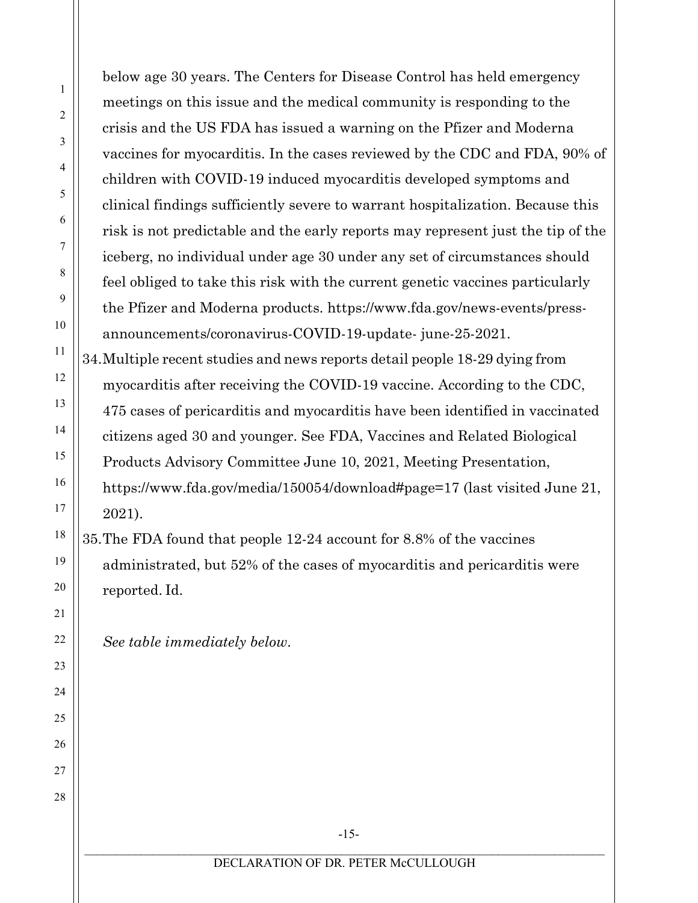below age 30 years. The Centers for Disease Control has held emergency meetings on this issue and the medical community is responding to the crisis and the US FDA has issued a warning on the Pfizer and Moderna vaccines for myocarditis. In the cases reviewed by the CDC and FDA, 90% of children with COVID-19 induced myocarditis developed symptoms and clinical findings sufficiently severe to warrant hospitalization. Because this risk is not predictable and the early reports may represent just the tip of the iceberg, no individual under age 30 under any set of circumstances should feel obliged to take this risk with the current genetic vaccines particularly the Pfizer and Moderna products. https[://www.fda.gov/news-events/press](about:blank)[announcements/coronavirus-COVID-19-update-](about:blank) june-25-2021. 34.Multiple recent studies and news reports detail people 18-29 dying from

myocarditis after receiving the COVID-19 vaccine. According to the CDC, 475 cases of pericarditis and myocarditis have been identified in vaccinated citizens aged 30 and younger. See FDA, Vaccines and Related Biological Products Advisory Committee June 10, 2021, Meeting Presentation, https:/[/www.fda.gov/media/150054/download#page=17](about:blank#page%3D17) (last visited June 21, 2021).

35.The FDA found that people 12-24 account for 8.8% of the vaccines administrated, but 52% of the cases of myocarditis and pericarditis were reported. Id.

*See table immediately below*.

1

2

3

4

5

6

7

8

9

10

11

12

13

14

15

16

17

18

19

20

21

22

23

24

25

26

27

28

-15-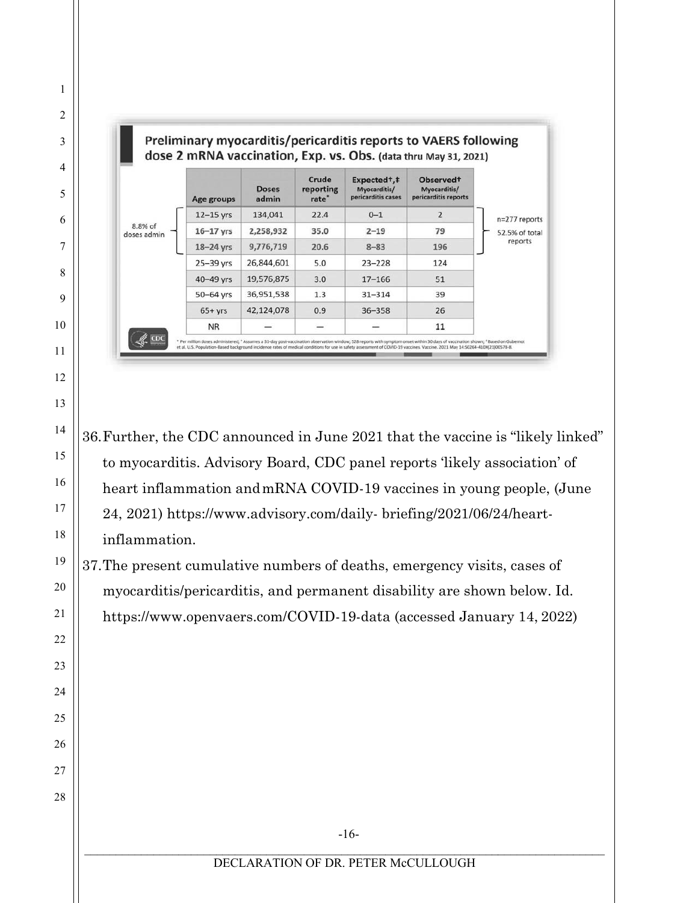

36.Further, the CDC announced in June 2021 that the vaccine is "likely linked" to myocarditis. Advisory Board, CDC panel reports 'likely association' of heart inflammation andmRNA COVID-19 vaccines in young people, (June 24, 2021) https[://www.advisory.com/daily-](about:blank) briefing/2021/06/24/heartinflammation.

37.The present cumulative numbers of deaths, emergency visits, cases of myocarditis/pericarditis, and permanent disability are shown below. Id. https[://www.openvaers.com/COVID-19-data](about:blank) (accessed January 14, 2022)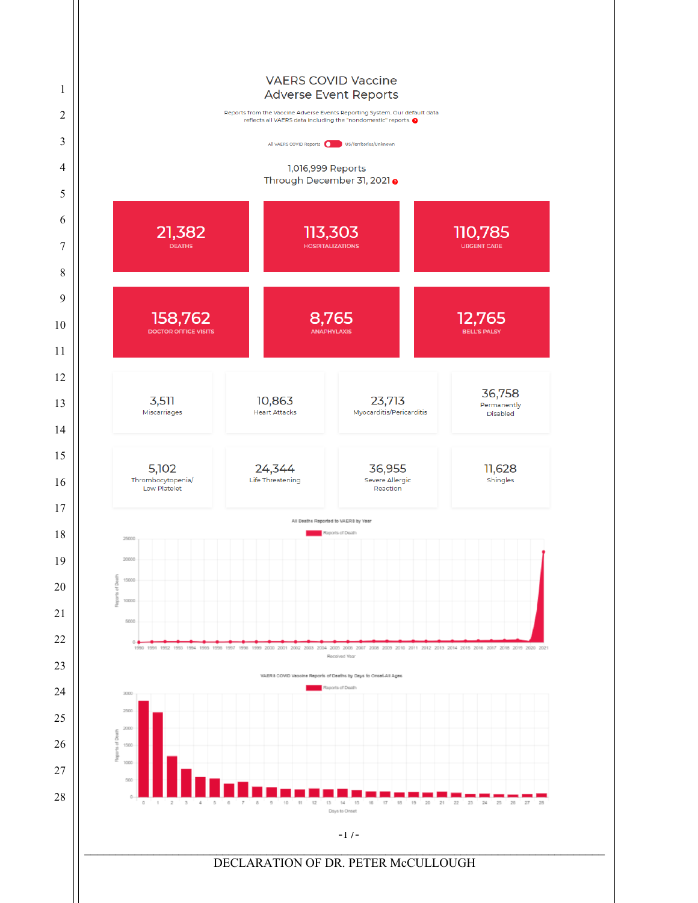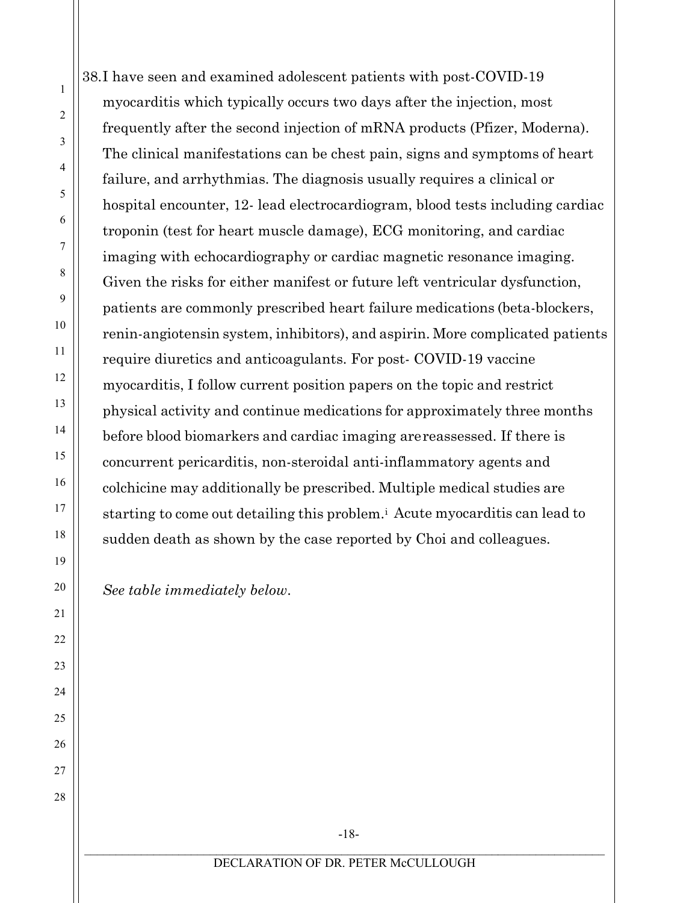38.I have seen and examined adolescent patients with post-COVID-19 myocarditis which typically occurs two days after the injection, most frequently after the second injection of mRNA products (Pfizer, Moderna). The clinical manifestations can be chest pain, signs and symptoms of heart failure, and arrhythmias. The diagnosis usually requires a clinical or hospital encounter, 12- lead electrocardiogram, blood tests including cardiac troponin (test for heart muscle damage), ECG monitoring, and cardiac imaging with echocardiography or cardiac magnetic resonance imaging. Given the risks for either manifest or future left ventricular dysfunction, patients are commonly prescribed heart failure medications (beta-blockers, renin-angiotensin system, inhibitors), and aspirin. More complicated patients require diuretics and anticoagulants. For post- COVID-19 vaccine myocarditis, I follow current position papers on the topic and restrict physical activity and continue medications for approximately three months before blood biomarkers and cardiac imaging arereassessed. If there is concurrent pericarditis, non-steroidal anti-inflammatory agents and colchicine may additionally be prescribed. Multiple medical studies are starting to come out detailing this problem.[i](#page-26-0) Acute myocarditis can lead to sudden death as shown by the case reported by Choi and colleagues.

*See table immediately below*.

-18-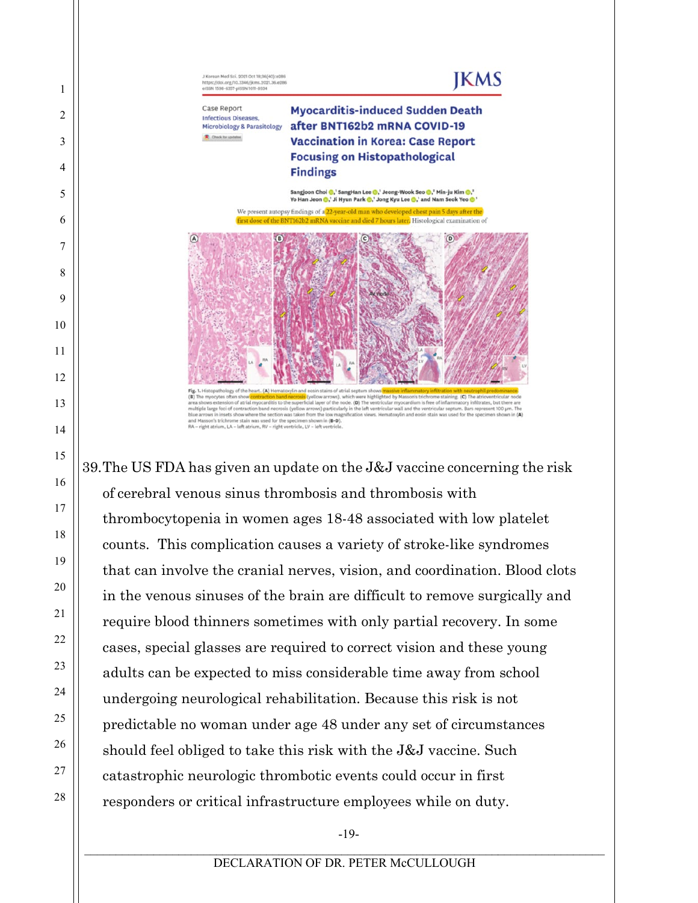

39.The US FDA has given an update on the J&J vaccine concerning the risk of cerebral venous sinus thrombosis and thrombosis with thrombocytopenia in women ages 18-48 associated with low platelet counts. This complication causes a variety of stroke-like syndromes that can involve the cranial nerves, vision, and coordination. Blood clots in the venous sinuses of the brain are difficult to remove surgically and require blood thinners sometimes with only partial recovery. In some cases, special glasses are required to correct vision and these young adults can be expected to miss considerable time away from school undergoing neurological rehabilitation. Because this risk is not predictable no woman under age 48 under any set of circumstances should feel obliged to take this risk with the J&J vaccine. Such catastrophic neurologic thrombotic events could occur in first responders or critical infrastructure employees while on duty.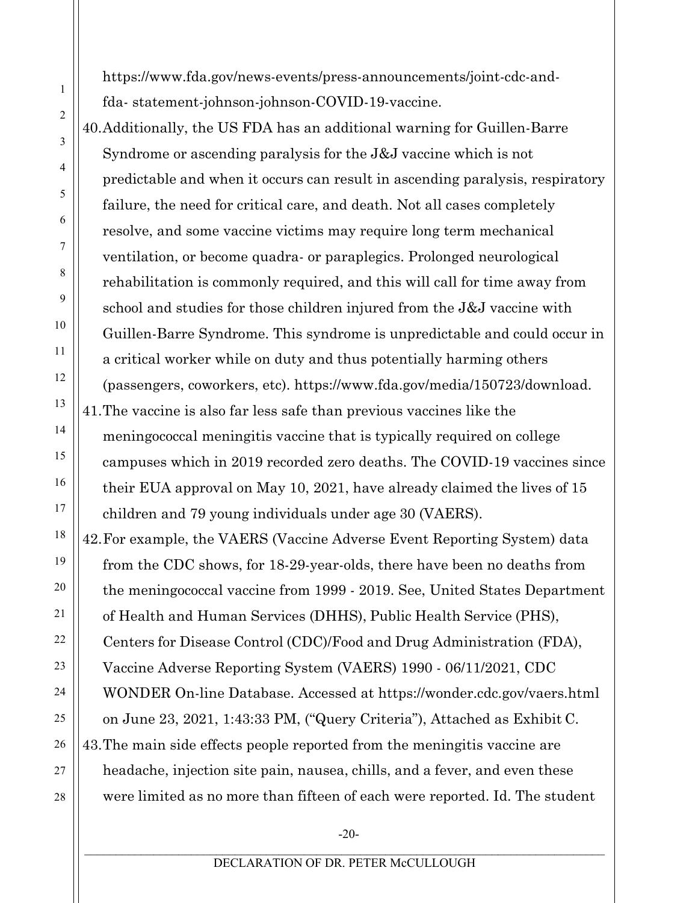https:[//www.fda.gov/news-events/press-announcements/joint-cdc-and](about:blank)[fda-](about:blank) statement-johnson-johnson-COVID-19-vaccine.

1

2

3

4

5

6

7

8

9

10

11

12

13

14

15

16

17

18

19

20

21

22

23

24

25

26

27

28

40.Additionally, the US FDA has an additional warning for Guillen-Barre Syndrome or ascending paralysis for the J&J vaccine which is not predictable and when it occurs can result in ascending paralysis, respiratory failure, the need for critical care, and death. Not all cases completely resolve, and some vaccine victims may require long term mechanical ventilation, or become quadra- or paraplegics. Prolonged neurological rehabilitation is commonly required, and this will call for time away from school and studies for those children injured from the J&J vaccine with Guillen-Barre Syndrome. This syndrome is unpredictable and could occur in a critical worker while on duty and thus potentially harming others (passengers, coworkers, etc). https[://www.fda.gov/media/150723/download.](about:blank) 41.The vaccine is also far less safe than previous vaccines like the meningococcal meningitis vaccine that is typically required on college campuses which in 2019 recorded zero deaths. The COVID-19 vaccines since their EUA approval on May 10, 2021, have already claimed the lives of 15 children and 79 young individuals under age 30 (VAERS).

42.For example, the VAERS (Vaccine Adverse Event Reporting System) data from the CDC shows, for 18-29-year-olds, there have been no deaths from the meningococcal vaccine from 1999 - 2019. See, United States Department of Health and Human Services (DHHS), Public Health Service (PHS), Centers for Disease Control (CDC)/Food and Drug Administration (FDA), Vaccine Adverse Reporting System (VAERS) 1990 - 06/11/2021, CDC WONDER On-line Database. Accessed at https://wonder.cdc.gov/vaers.html on June 23, 2021, 1:43:33 PM, ("Query Criteria"), Attached as Exhibit C. 43.The main side effects people reported from the meningitis vaccine are headache, injection site pain, nausea, chills, and a fever, and even these were limited as no more than fifteen of each were reported. Id. The student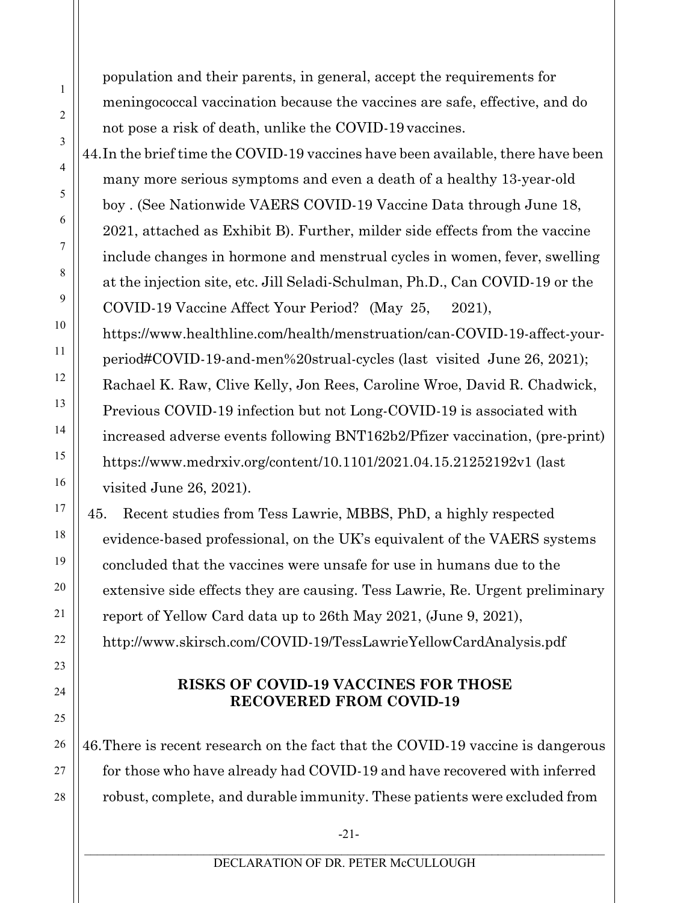population and their parents, in general, accept the requirements for meningococcal vaccination because the vaccines are safe, effective, and do not pose a risk of death, unlike the COVID-19 vaccines.

44.In the brief time the COVID-19 vaccines have been available, there have been many more serious symptoms and even a death of a healthy 13-year-old boy . (See Nationwide VAERS COVID-19 Vaccine Data through June 18, 2021, attached as Exhibit B). Further, milder side effects from the vaccine include changes in hormone and menstrual cycles in women, fever, swelling at the injection site, etc. Jill Seladi-Schulman, Ph.D., Can COVID-19 or the COVID-19 Vaccine Affect Your Period? (May 25, 2021), https[://www.healthline.com/health/menstruation/can-COVID-19-affect-your](about:blank)period#COVID-19-and-men%20strual-cycles (last visited June 26, 2021); Rachael K. Raw, Clive Kelly, Jon Rees, Caroline Wroe, David R. Chadwick, Previous COVID-19 infection but not Long-COVID-19 is associated with increased adverse events following BNT162b2/Pfizer vaccination, (pre-print) https:[//www.medrxiv.org/content/10.1101/2021.04.15.21252192v1](about:blank) (last

visited June 26, 2021).

45. Recent studies from Tess Lawrie, MBBS, PhD, a highly respected evidence-based professional, on the UK's equivalent of the VAERS systems concluded that the vaccines were unsafe for use in humans due to the extensive side effects they are causing. Tess Lawrie, Re. Urgent preliminary report of Yellow Card data up to 26th May 2021, (June 9, 2021), [http://www.skirsch.com/COVID-19/TessLawrieYellowCardAnalysis.pdf](about:blank)

## **RISKS OF COVID-19 VACCINES FOR THOSE RECOVERED FROM COVID-19**

46.There is recent research on the fact that the COVID-19 vaccine is dangerous for those who have already had COVID-19 and have recovered with inferred robust, complete, and durable immunity. These patients were excluded from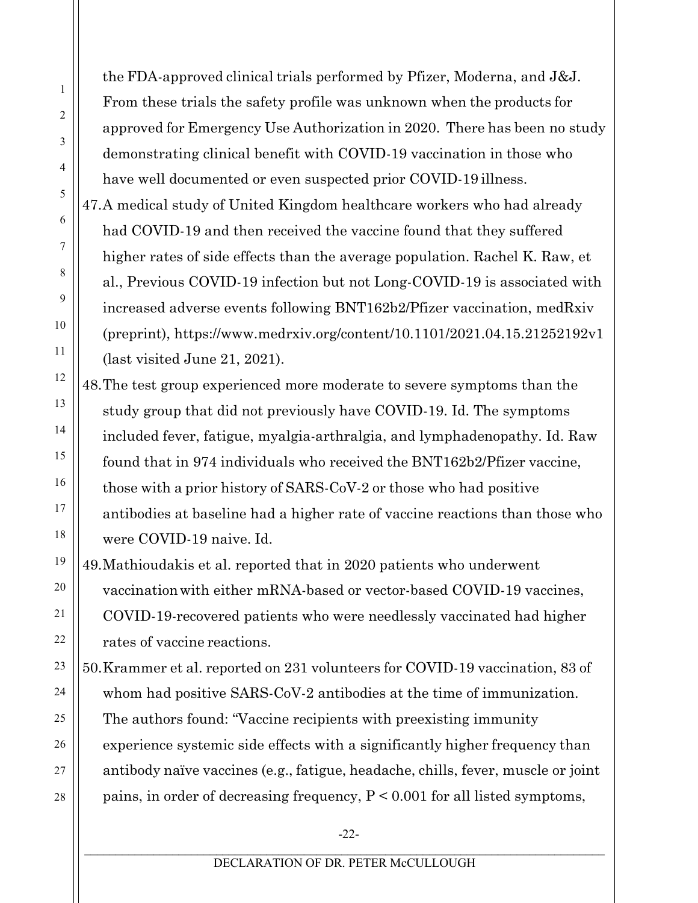the FDA-approved clinical trials performed by Pfizer, Moderna, and J&J. From these trials the safety profile was unknown when the products for approved for Emergency Use Authorization in 2020. There has been no study demonstrating clinical benefit with COVID-19 vaccination in those who have well documented or even suspected prior COVID-19 illness.

47.A medical study of United Kingdom healthcare workers who had already had COVID-19 and then received the vaccine found that they suffered higher rates of side effects than the average population. Rachel K. Raw, et al., Previous COVID-19 infection but not Long-COVID-19 is associated with increased adverse events following BNT162b2/Pfizer vaccination, medRxiv (preprint), https:[//www.medrxiv.org/content/10.1101/2021.04.15.21252192v1](about:blank) (last visited June 21, 2021).

48.The test group experienced more moderate to severe symptoms than the study group that did not previously have COVID-19. Id. The symptoms included fever, fatigue, myalgia-arthralgia, and lymphadenopathy. Id. Raw found that in 974 individuals who received the BNT162b2/Pfizer vaccine, those with a prior history of SARS-CoV-2 or those who had positive antibodies at baseline had a higher rate of vaccine reactions than those who were COVID-19 naive. Id.

49.Mathioudakis et al. reported that in 2020 patients who underwent vaccinationwith either mRNA-based or vector-based COVID-19 vaccines, COVID-19-recovered patients who were needlessly vaccinated had higher rates of vaccine reactions.

50.Krammer et al. reported on 231 volunteers for COVID-19 vaccination, 83 of whom had positive SARS-CoV-2 antibodies at the time of immunization. The authors found: "Vaccine recipients with preexisting immunity experience systemic side effects with a significantly higher frequency than antibody naïve vaccines (e.g., fatigue, headache, chills, fever, muscle or joint pains, in order of decreasing frequency, P < 0.001 for all listed symptoms,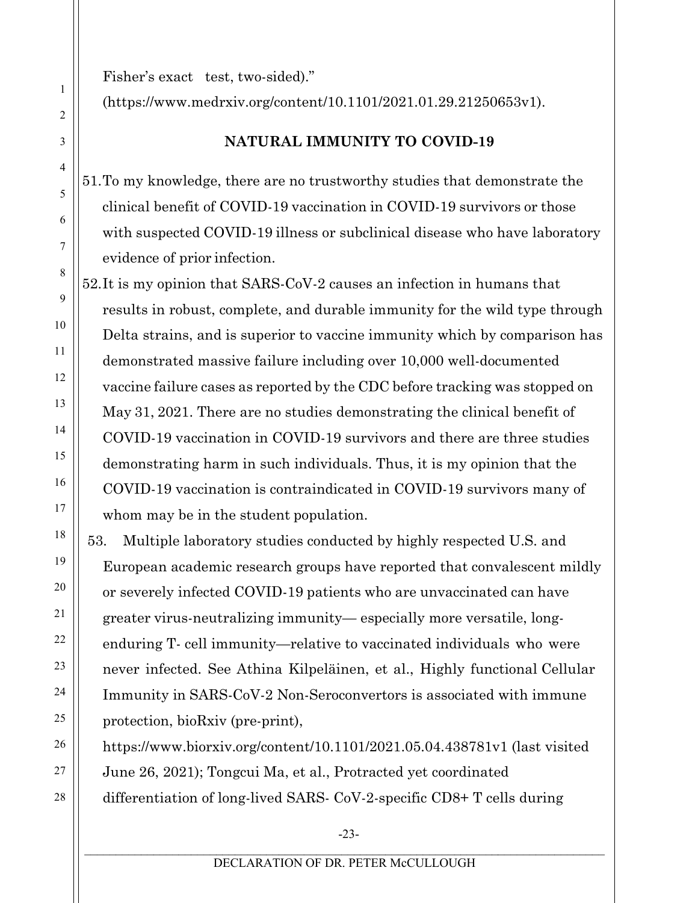Fisher's exact test, two-sided)."

(https[://www.medrxiv.org/content/10.1101/2021.01.29.21250653v1\).](about:blank)

# **NATURAL IMMUNITY TO COVID-19**

51.To my knowledge, there are no trustworthy studies that demonstrate the clinical benefit of COVID-19 vaccination in COVID-19 survivors or those with suspected COVID-19 illness or subclinical disease who have laboratory evidence of prior infection.

52.It is my opinion that SARS-CoV-2 causes an infection in humans that results in robust, complete, and durable immunity for the wild type through Delta strains, and is superior to vaccine immunity which by comparison has demonstrated massive failure including over 10,000 well-documented vaccine failure cases as reported by the CDC before tracking was stopped on May 31, 2021. There are no studies demonstrating the clinical benefit of COVID-19 vaccination in COVID-19 survivors and there are three studies demonstrating harm in such individuals. Thus, it is my opinion that the COVID-19 vaccination is contraindicated in COVID-19 survivors many of whom may be in the student population.

53. Multiple laboratory studies conducted by highly respected U.S. and European academic research groups have reported that convalescent mildly or severely infected COVID-19 patients who are unvaccinated can have greater virus-neutralizing immunity— especially more versatile, longenduring T- cell immunity—relative to vaccinated individuals who were never infected. See Athina Kilpeläinen, et al., Highly functional Cellular Immunity in SARS-CoV-2 Non-Seroconvertors is associated with immune protection, bioRxiv (pre-print),

https[://www.biorxiv.org/content/10.1101/2021.05.04.438781v1](about:blank) (last visited June 26, 2021); Tongcui Ma, et al., Protracted yet coordinated differentiation of long-lived SARS- CoV-2-specific CD8+ T cells during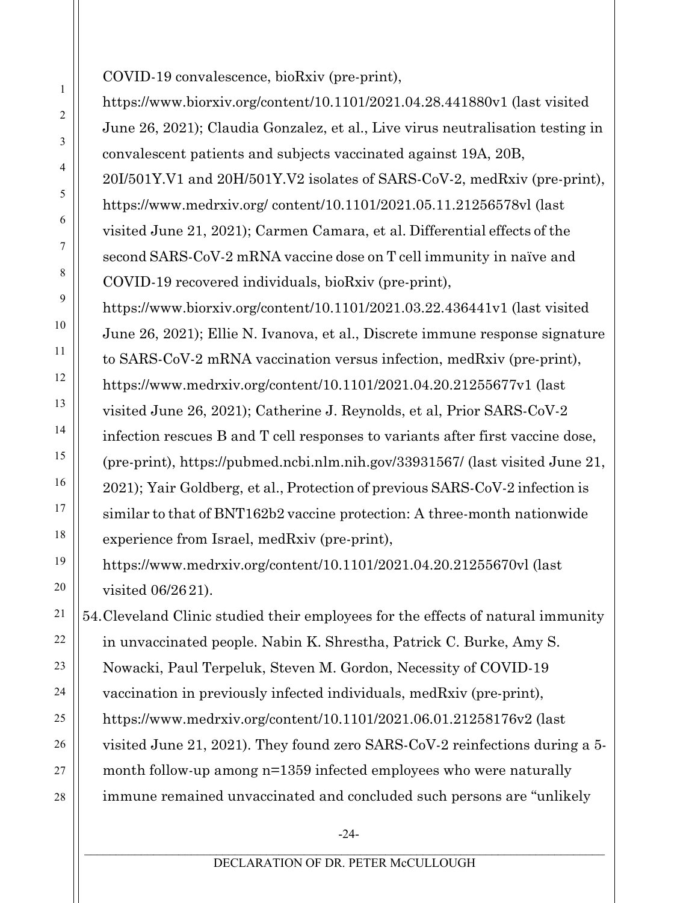COVID-19 convalescence, bioRxiv (pre-print),

https[://www.biorxiv.org/content/10.1101/2021.04.28.441880v1](about:blank) (last visited June 26, 2021); Claudia Gonzalez, et al., Live virus neutralisation testing in convalescent patients and subjects vaccinated against 19A, 20B, 20I/501Y.V1 and 20H/501Y.V2 isolates of SARS-CoV-2, medRxiv (pre-print), https:/[/www.medrxiv.org/](about:blank) content/10.1101/2021.05.11.21256578vl (last visited June 21, 2021); Carmen Camara, et al. Differential effects of the second SARS-CoV-2 mRNA vaccine dose on T cell immunity in naïve and COVID-19 recovered individuals, bioRxiv (pre-print),

https[://www.biorxiv.org/content/10.1101/2021.03.22.436441v1](about:blank) (last visited June 26, 2021); Ellie N. Ivanova, et al., Discrete immune response signature to SARS-CoV-2 mRNA vaccination versus infection, medRxiv (pre-print), https:[//www.medrxiv.org/content/10.1101/2021.04.20.21255677v1](about:blank) (last visited June 26, 2021); Catherine J. Reynolds, et al, Prior SARS-CoV-2 infection rescues B and T cell responses to variants after first vaccine dose, (pre-print), https://pubmed.ncbi.nlm.nih.gov/33931567/ (last visited June 21, 2021); Yair Goldberg, et al., Protection of previous SARS-CoV-2 infection is similar to that of BNT162b2 vaccine protection: A three-month nationwide experience from Israel, medRxiv (pre-print),

https:[//www.medrxiv.org/content/10.1101/2021.04.20.21255670vl](about:blank) (last visited 06/26 21).

54.Cleveland Clinic studied their employees for the effects of natural immunity in unvaccinated people. Nabin K. Shrestha, Patrick C. Burke, Amy S. Nowacki, Paul Terpeluk, Steven M. Gordon, Necessity of COVID-19 vaccination in previously infected individuals, medRxiv (pre-print), https:[//www.medrxiv.org/content/10.1101/2021.06.01.21258176v2](about:blank) (last visited June 21, 2021). They found zero SARS-CoV-2 reinfections during a 5 month follow-up among n=1359 infected employees who were naturally immune remained unvaccinated and concluded such persons are "unlikely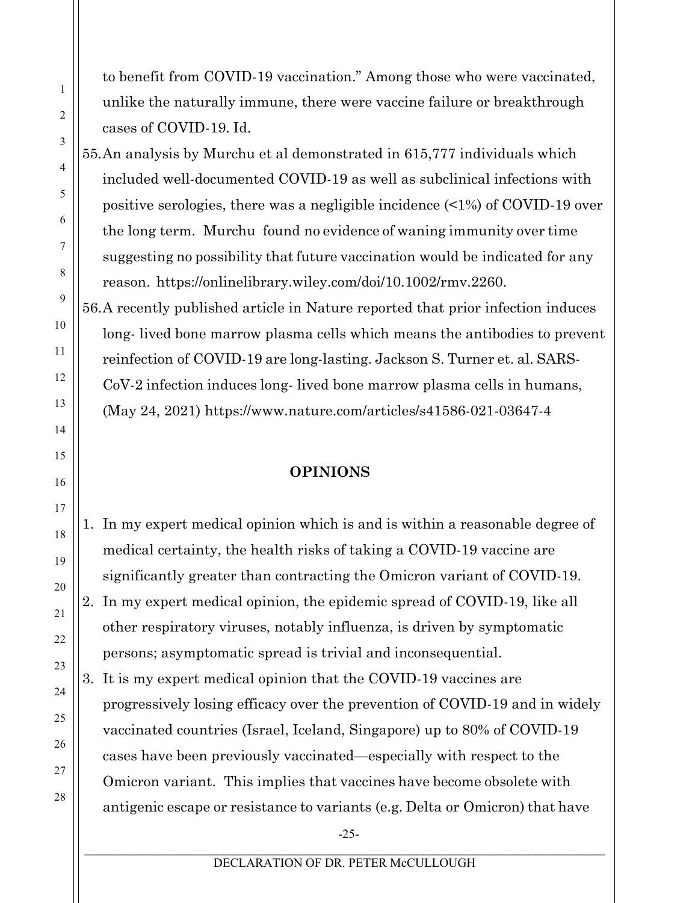to benefit from COVID-19 vaccination." Among those who were vaccinated, unlike the naturally immune, there were vaccine failure or breakthrough cases of COVID-19. Id.

55.An analysis by Murchu et al demonstrated in 615,777 individuals which included well-documented COVID-19 as well as subclinical infections with positive serologies, there was a negligible incidence (<1%) of COVID-19 over the long term. Murchu found no evidence of waning immunity over time suggesting no possibility that future vaccination would be indicated for any reason. https://onlinelibrary.wiley.com/doi/10.1002/rmv.2260.

56.A recently published article in Nature reported that prior infection induces long- lived bone marrow plasma cells which means the antibodies to prevent reinfection of COVID-19 are long-lasting. Jackson S. Turner et. al. SARS-CoV-2 infection induces long- lived bone marrow plasma cells in humans, (May 24, 2021) https[://www.nature.com/articles/s41586-021-03647-4](about:blank)

#### **OPINIONS**

1. In my expert medical opinion which is and is within a reasonable degree of medical certainty, the health risks of taking a COVID-19 vaccine are significantly greater than contracting the Omicron variant of COVID-19. 2. In my expert medical opinion, the epidemic spread of COVID-19, like all other respiratory viruses, notably influenza, is driven by symptomatic persons; asymptomatic spread is trivial and inconsequential.

3. It is my expert medical opinion that the COVID-19 vaccines are progressively losing efficacy over the prevention of COVID-19 and in widely vaccinated countries (Israel, Iceland, Singapore) up to 80% of COVID-19 cases have been previously vaccinated—especially with respect to the Omicron variant. This implies that vaccines have become obsolete with antigenic escape or resistance to variants (e.g. Delta or Omicron) that have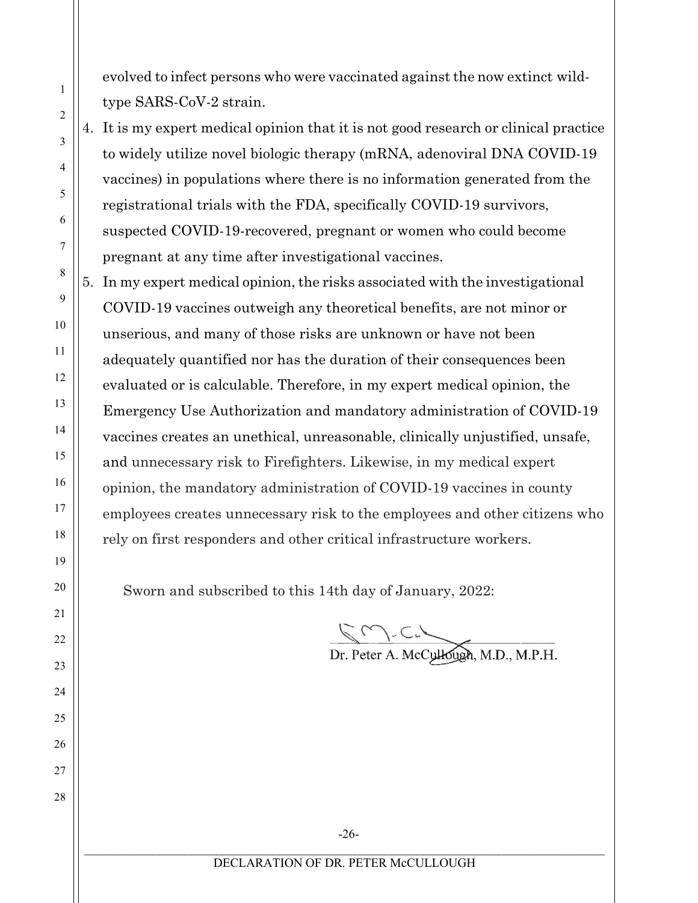evolved to infect persons who were vaccinated against the now extinct wildtype SARS-CoV-2 strain.

4. It is my expert medical opinion that it is not good research or clinical practice to widely utilize novel biologic therapy (mRNA, adenoviral DNA COVID-19 vaccines) in populations where there is no information generated from the registrational trials with the FDA, specifically COVID-19 survivors, suspected COVID-19-recovered, pregnant or women who could become pregnant at any time after investigational vaccines.

5. In my expert medical opinion, the risks associated with the investigational COVID-19 vaccines outweigh any theoretical benefits, are not minor or unserious, and many of those risks are unknown or have not been adequately quantified nor has the duration of their consequences been evaluated or is calculable. Therefore, in my expert medical opinion, the Emergency Use Authorization and mandatory administration of COVID-19 vaccines creates an unethical, unreasonable, clinically unjustified, unsafe, and unnecessary risk to Firefighters. Likewise, in my medical expert opinion, the mandatory administration of COVID-19 vaccines in county employees creates unnecessary risk to the employees and other citizens who rely on first responders and other critical infrastructure workers.

Sworn and subscribed to this 14th day of January, 2022:

Dr. Peter A. McCullough, M.D., M.P.H.

4 5 6 7 8 9 10 11 12 13 14 15 16 17 18 19 20 21 22 23 24 25 26 27 28

1

2